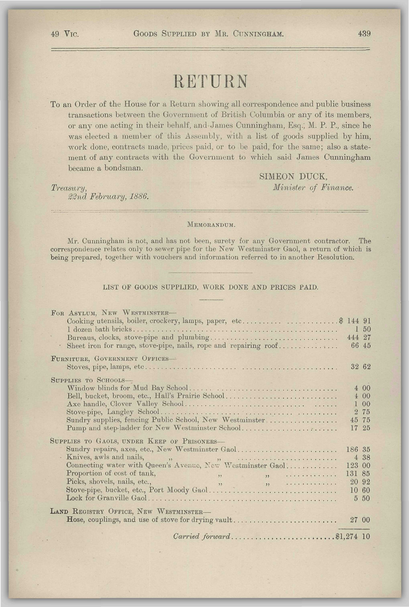## RETURN

To an Order of the House for a Return showing all correspondence and public business transactions between the Government of British Columbia or any of its members, or any one acting in their behalf, and James Cunningham, Esq.; M. P. P., since he was elected a member of this Assembly, with a list of goods supplied by him, work done, contracts made, prices paid, or to be paid, for the same; also a statement of any contracts with the Government to which said James Cunningham became a bondsman.

SIMEON DUCK, *Treasury, Minister of Finance.* 

*%2nd February, 1886.* 

MEMORANDUM.

Mr. Cunningham is not, and has not been, surety for any Government contractor. The correspondence relates only to sewer pipe for the New Westminster Gaol, a return of which is being prepared, together with vouchers and information referred to in another Resolution.

LIST OF GOODS SUPPLIED, WORK DONE AND PRICES PAID.

| FOR ASYLUM, NEW WESTMINSTER-<br>Cooking utensils, boiler, crockery, lamps, paper, etc\$ 144 91<br>Sheet iron for range, stove-pipe, nails, rope and repairing roof                                                                                                                                                                                                                                                                                                                                                                                                                                                                                                                                                                                                                                                                                                                         | 1 50<br>444 27                      | 66 45                                        |
|--------------------------------------------------------------------------------------------------------------------------------------------------------------------------------------------------------------------------------------------------------------------------------------------------------------------------------------------------------------------------------------------------------------------------------------------------------------------------------------------------------------------------------------------------------------------------------------------------------------------------------------------------------------------------------------------------------------------------------------------------------------------------------------------------------------------------------------------------------------------------------------------|-------------------------------------|----------------------------------------------|
| FURNITURE, GOVERNMENT OFFICES-                                                                                                                                                                                                                                                                                                                                                                                                                                                                                                                                                                                                                                                                                                                                                                                                                                                             |                                     | 32 62                                        |
| SUPPLIES TO SCHOOLS-<br>Bell, bucket, broom, etc., Hall's Prairie School<br>Sundry supplies, fencing Public School, New Westminster<br>Pump and step-ladder for New Westminster School                                                                                                                                                                                                                                                                                                                                                                                                                                                                                                                                                                                                                                                                                                     |                                     | 400<br>400<br>1 00<br>2 75<br>45 75<br>17 25 |
| SUPPLIES TO GAOLS, UNDER KEEP OF PRISONERS-<br>Sundry repairs, axes, etc., New Westminster Gaol<br>Knives, awls and nails, $\qquad$ , $\qquad$ , $\qquad$ , $\qquad$ , $\qquad$ , $\qquad$ , $\qquad$ , $\qquad$ , $\qquad$ , $\qquad$ , $\qquad$ , $\qquad$ , $\qquad$ , $\qquad$ , $\qquad$ , $\qquad$ , $\qquad$ , $\qquad$ , $\qquad$ , $\qquad$ , $\qquad$ , $\qquad$ , $\qquad$ , $\qquad$ , $\qquad$ , $\qquad$ , $\qquad$ , $\qquad$ ,<br>Connecting water with Queen's Avenue, New Westminster Gaol<br>Proportion of cost of tank,<br>$\mathbf{y}$ , $\mathbf{y}$ , $\mathbf{y}$ , $\mathbf{y}$ , $\mathbf{y}$ , $\mathbf{y}$ , $\mathbf{y}$ , $\mathbf{y}$ , $\mathbf{y}$ , $\mathbf{y}$ , $\mathbf{y}$ , $\mathbf{y}$ , $\mathbf{y}$ , $\mathbf{y}$ , $\mathbf{y}$ , $\mathbf{y}$ , $\mathbf{y}$ , $\mathbf{y}$ , $\mathbf{y}$ , $\mathbf{y}$ ,<br>Picks, shovels, nails, etc., | 186 35<br>123 00<br>131 85<br>10 60 | 4 38<br>20 92<br>5 50                        |
| LAND REGISTRY OFFICE, NEW WESTMINSTER-<br>Hose, couplings, and use of stove for drying vault                                                                                                                                                                                                                                                                                                                                                                                                                                                                                                                                                                                                                                                                                                                                                                                               | 27 00                               |                                              |
|                                                                                                                                                                                                                                                                                                                                                                                                                                                                                                                                                                                                                                                                                                                                                                                                                                                                                            |                                     |                                              |